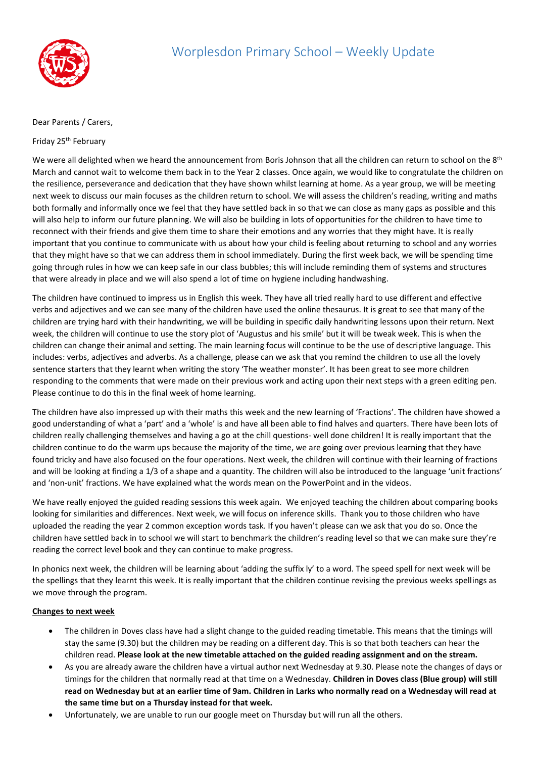

## Dear Parents / Carers,

## Friday 25th February

We were all delighted when we heard the announcement from Boris Johnson that all the children can return to school on the 8<sup>th</sup> March and cannot wait to welcome them back in to the Year 2 classes. Once again, we would like to congratulate the children on the resilience, perseverance and dedication that they have shown whilst learning at home. As a year group, we will be meeting next week to discuss our main focuses as the children return to school. We will assess the children's reading, writing and maths both formally and informally once we feel that they have settled back in so that we can close as many gaps as possible and this will also help to inform our future planning. We will also be building in lots of opportunities for the children to have time to reconnect with their friends and give them time to share their emotions and any worries that they might have. It is really important that you continue to communicate with us about how your child is feeling about returning to school and any worries that they might have so that we can address them in school immediately. During the first week back, we will be spending time going through rules in how we can keep safe in our class bubbles; this will include reminding them of systems and structures that were already in place and we will also spend a lot of time on hygiene including handwashing.

The children have continued to impress us in English this week. They have all tried really hard to use different and effective verbs and adjectives and we can see many of the children have used the online thesaurus. It is great to see that many of the children are trying hard with their handwriting, we will be building in specific daily handwriting lessons upon their return. Next week, the children will continue to use the story plot of 'Augustus and his smile' but it will be tweak week. This is when the children can change their animal and setting. The main learning focus will continue to be the use of descriptive language. This includes: verbs, adjectives and adverbs. As a challenge, please can we ask that you remind the children to use all the lovely sentence starters that they learnt when writing the story 'The weather monster'. It has been great to see more children responding to the comments that were made on their previous work and acting upon their next steps with a green editing pen. Please continue to do this in the final week of home learning.

The children have also impressed up with their maths this week and the new learning of 'Fractions'. The children have showed a good understanding of what a 'part' and a 'whole' is and have all been able to find halves and quarters. There have been lots of children really challenging themselves and having a go at the chill questions- well done children! It is really important that the children continue to do the warm ups because the majority of the time, we are going over previous learning that they have found tricky and have also focused on the four operations. Next week, the children will continue with their learning of fractions and will be looking at finding a 1/3 of a shape and a quantity. The children will also be introduced to the language 'unit fractions' and 'non-unit' fractions. We have explained what the words mean on the PowerPoint and in the videos.

We have really enjoyed the guided reading sessions this week again. We enjoyed teaching the children about comparing books looking for similarities and differences. Next week, we will focus on inference skills. Thank you to those children who have uploaded the reading the year 2 common exception words task. If you haven't please can we ask that you do so. Once the children have settled back in to school we will start to benchmark the children's reading level so that we can make sure they're reading the correct level book and they can continue to make progress.

In phonics next week, the children will be learning about 'adding the suffix ly' to a word. The speed spell for next week will be the spellings that they learnt this week. It is really important that the children continue revising the previous weeks spellings as we move through the program.

## **Changes to next week**

- The children in Doves class have had a slight change to the guided reading timetable. This means that the timings will stay the same (9.30) but the children may be reading on a different day. This is so that both teachers can hear the children read. **Please look at the new timetable attached on the guided reading assignment and on the stream.**
- As you are already aware the children have a virtual author next Wednesday at 9.30. Please note the changes of days or timings for the children that normally read at that time on a Wednesday. **Children in Doves class (Blue group) will still read on Wednesday but at an earlier time of 9am. Children in Larks who normally read on a Wednesday will read at the same time but on a Thursday instead for that week.**
- Unfortunately, we are unable to run our google meet on Thursday but will run all the others.